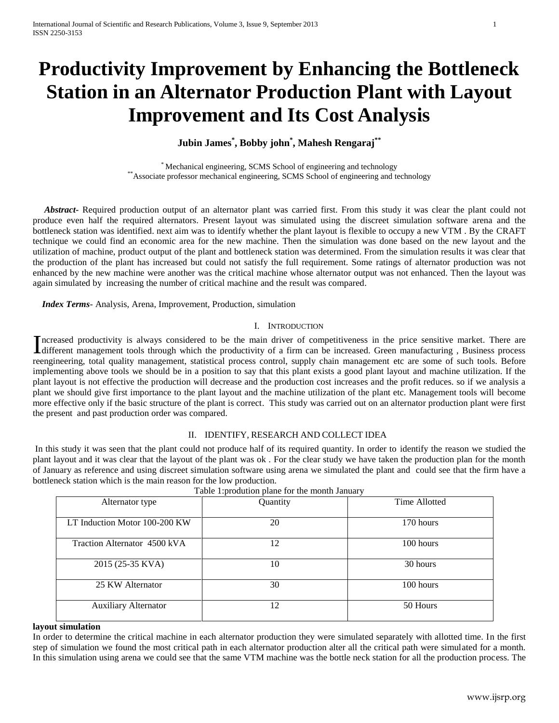# **Productivity Improvement by Enhancing the Bottleneck Station in an Alternator Production Plant with Layout Improvement and Its Cost Analysis**

**Jubin James\* , Bobby john\* , Mahesh Rengaraj\*\***

\* Mechanical engineering, SCMS School of engineering and technology \*\*Associate professor mechanical engineering, SCMS School of engineering and technology

 *Abstract***-** Required production output of an alternator plant was carried first. From this study it was clear the plant could not produce even half the required alternators. Present layout was simulated using the discreet simulation software arena and the bottleneck station was identified. next aim was to identify whether the plant layout is flexible to occupy a new VTM . By the CRAFT technique we could find an economic area for the new machine. Then the simulation was done based on the new layout and the utilization of machine, product output of the plant and bottleneck station was determined. From the simulation results it was clear that the production of the plant has increased but could not satisfy the full requirement. Some ratings of alternator production was not enhanced by the new machine were another was the critical machine whose alternator output was not enhanced. Then the layout was again simulated by increasing the number of critical machine and the result was compared.

 *Index Terms*- Analysis, Arena, Improvement, Production, simulation

### I. INTRODUCTION

ncreased productivity is always considered to be the main driver of competitiveness in the price sensitive market. There are Increased productivity is always considered to be the main driver of competitiveness in the price sensitive market. There are different management tools through which the productivity of a firm can be increased. Green manu reengineering, total quality management, statistical process control, supply chain management etc are some of such tools. Before implementing above tools we should be in a position to say that this plant exists a good plant layout and machine utilization. If the plant layout is not effective the production will decrease and the production cost increases and the profit reduces. so if we analysis a plant we should give first importance to the plant layout and the machine utilization of the plant etc. Management tools will become more effective only if the basic structure of the plant is correct. This study was carried out on an alternator production plant were first the present and past production order was compared.

## II. IDENTIFY, RESEARCH AND COLLECT IDEA

In this study it was seen that the plant could not produce half of its required quantity. In order to identify the reason we studied the plant layout and it was clear that the layout of the plant was ok . For the clear study we have taken the production plan for the month of January as reference and using discreet simulation software using arena we simulated the plant and could see that the firm have a bottleneck station which is the main reason for the low production.

| Alternator type               | Quantity | Time Allotted |
|-------------------------------|----------|---------------|
| LT Induction Motor 100-200 KW | 20       | 170 hours     |
| Traction Alternator 4500 kVA  | 12       | 100 hours     |
| 2015 (25-35 KVA)              | 10       | 30 hours      |
| 25 KW Alternator              | 30       | 100 hours     |
| <b>Auxiliary Alternator</b>   | 12       | 50 Hours      |

Table 1:prodution plane for the month January

#### **layout simulation**

In order to determine the critical machine in each alternator production they were simulated separately with allotted time. In the first step of simulation we found the most critical path in each alternator production alter all the critical path were simulated for a month. In this simulation using arena we could see that the same VTM machine was the bottle neck station for all the production process. The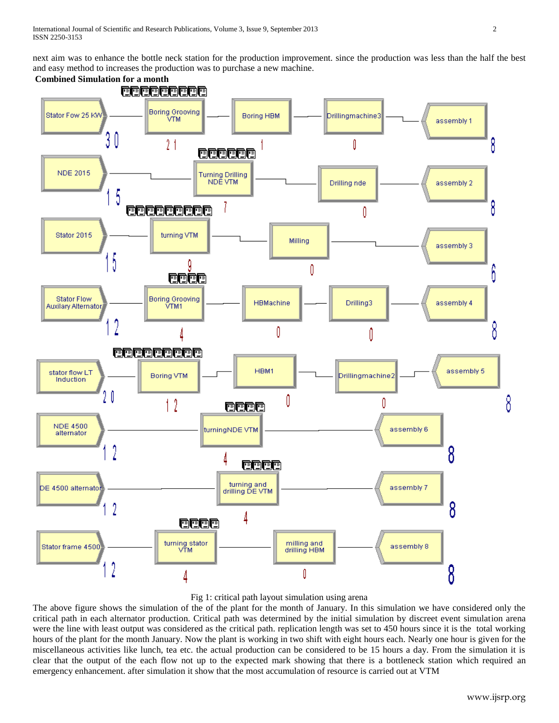next aim was to enhance the bottle neck station for the production improvement. since the production was less than the half the best and easy method to increases the production was to purchase a new machine.



# Fig 1: critical path layout simulation using arena

The above figure shows the simulation of the of the plant for the month of January. In this simulation we have considered only the critical path in each alternator production. Critical path was determined by the initial simulation by discreet event simulation arena were the line with least output was considered as the critical path. replication length was set to 450 hours since it is the total working hours of the plant for the month January. Now the plant is working in two shift with eight hours each. Nearly one hour is given for the miscellaneous activities like lunch, tea etc. the actual production can be considered to be 15 hours a day. From the simulation it is clear that the output of the each flow not up to the expected mark showing that there is a bottleneck station which required an emergency enhancement. after simulation it show that the most accumulation of resource is carried out at VTM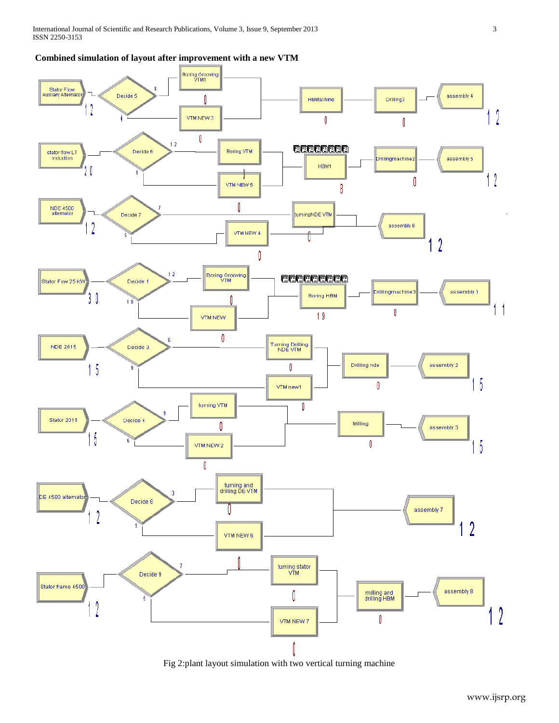# **Combined simulation of layout after improvement with a new VTM**



Fig 2:plant layout simulation with two vertical turning machine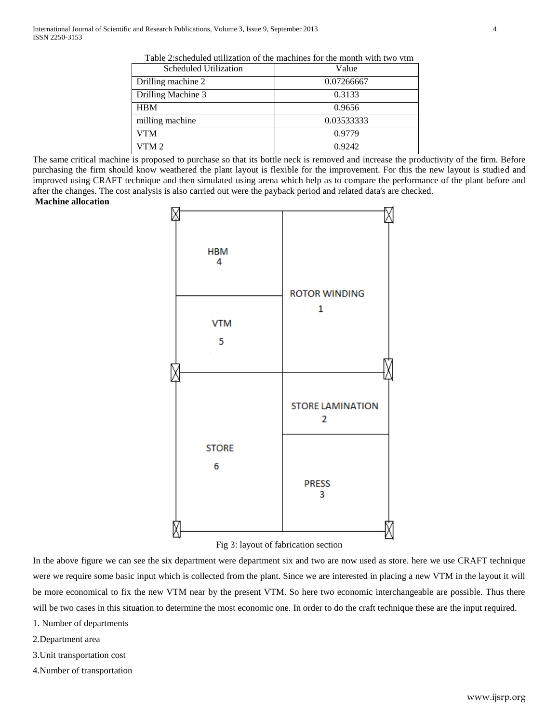| Taon 2.Scheduled utilization of the machines for the month with two villi |            |  |  |
|---------------------------------------------------------------------------|------------|--|--|
| <b>Scheduled Utilization</b>                                              | Value      |  |  |
| Drilling machine 2                                                        | 0.07266667 |  |  |
| Drilling Machine 3                                                        | 0.3133     |  |  |
| <b>HBM</b>                                                                | 0.9656     |  |  |
| milling machine                                                           | 0.03533333 |  |  |
| VTM                                                                       | 0.9779     |  |  |
| VTM2                                                                      | 0.9242     |  |  |

Table 2:scheduled utilization of the machines for the month with two vtm

The same critical machine is proposed to purchase so that its bottle neck is removed and increase the productivity of the firm. Before purchasing the firm should know weathered the plant layout is flexible for the improvement. For this the new layout is studied and improved using CRAFT technique and then simulated using arena which help as to compare the performance of the plant before and after the changes. The cost analysis is also carried out were the payback period and related data's are checked.

# **Machine allocation**



## Fig 3: layout of fabrication section

In the above figure we can see the six department were department six and two are now used as store. here we use CRAFT technique were we require some basic input which is collected from the plant. Since we are interested in placing a new VTM in the layout it will be more economical to fix the new VTM near by the present VTM. So here two economic interchangeable are possible. Thus there will be two cases in this situation to determine the most economic one. In order to do the craft technique these are the input required.

- 1. Number of departments
- 2.Department area
- 3.Unit transportation cost
- 4.Number of transportation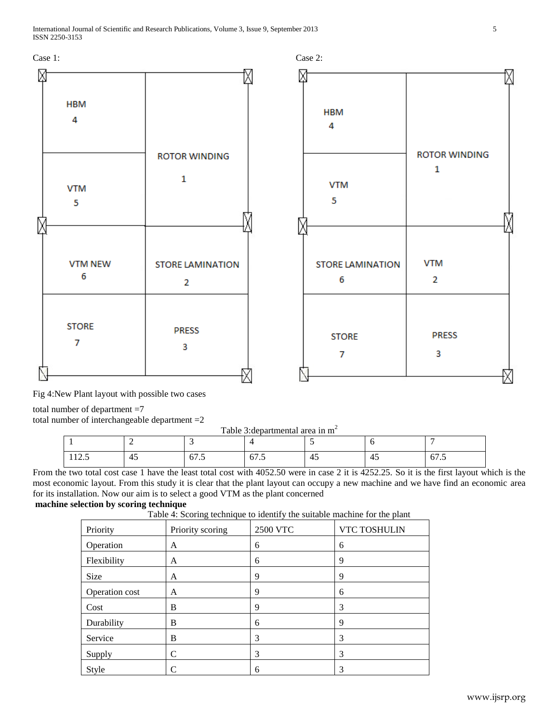

Fig 4:New Plant layout with possible two cases

total number of department =7

total number of interchangeable department =2

Table 3: departmental area in m<sup>2</sup>

| 112.7 | $\sqrt{1}$<br><b>A</b><br>. . | 0/1.5 | --<br>01.5 | -45 | . . | 0/0.5 |
|-------|-------------------------------|-------|------------|-----|-----|-------|

From the two total cost case 1 have the least total cost with 4052.50 were in case 2 it is 4252.25. So it is the first layout which is the most economic layout. From this study it is clear that the plant layout can occupy a new machine and we have find an economic area for its installation. Now our aim is to select a good VTM as the plant concerned

# **machine selection by scoring technique**

Table  $4:$  Scoring technique to identify the suitable machine for the plant

| $\mathbf{r}$ as $\mathbf{r}$ . The set $\mathbf{r}$ is set $\mathbf{r}$ as $\mathbf{r}$ as $\mathbf{r}$ as $\mathbf{r}$ as $\mathbf{r}$<br>the beneficie maternine for the press |                  |                 |              |  |  |
|----------------------------------------------------------------------------------------------------------------------------------------------------------------------------------|------------------|-----------------|--------------|--|--|
| Priority                                                                                                                                                                         | Priority scoring | <b>2500 VTC</b> | VTC TOSHULIN |  |  |
| Operation                                                                                                                                                                        | A                | 6               | 6            |  |  |
| Flexibility                                                                                                                                                                      | A                | 6               | 9            |  |  |
| Size                                                                                                                                                                             | A                | 9               | 9            |  |  |
| Operation cost                                                                                                                                                                   | A                | 9               | 6            |  |  |
| Cost                                                                                                                                                                             | B                | 9               | 3            |  |  |
| Durability                                                                                                                                                                       | B                | 6               | 9            |  |  |
| Service                                                                                                                                                                          | B                | 3               | 3            |  |  |
| Supply                                                                                                                                                                           | C                | 3               | 3            |  |  |
| Style                                                                                                                                                                            |                  | 6               | 3            |  |  |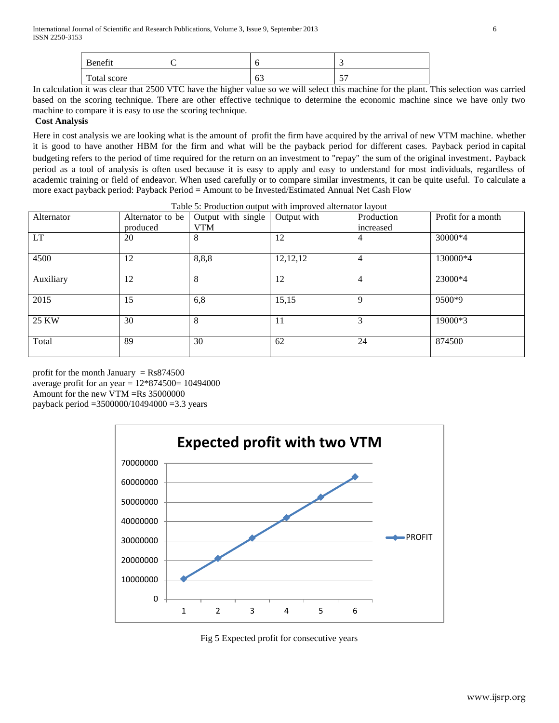| Benefit     |           | -                     |
|-------------|-----------|-----------------------|
| Total score | ہ ہ<br>υJ | $\overline{a}$<br>- - |

In calculation it was clear that 2500 VTC have the higher value so we will select this machine for the plant. This selection was carried based on the scoring technique. There are other effective technique to determine the economic machine since we have only two machine to compare it is easy to use the scoring technique.

## **Cost Analysis**

Here in cost analysis we are looking what is the amount of profit the firm have acquired by the arrival of new VTM machine. whether it is good to have another HBM for the firm and what will be the payback period for different cases. Payback period in [capital](http://en.wikipedia.org/wiki/Capital_budgeting)  [budgeting](http://en.wikipedia.org/wiki/Capital_budgeting) refers to the period of time required for the return on an investment to "repay" the sum of the original investment. Payback period as a tool of analysis is often used because it is easy to apply and easy to understand for most individuals, regardless of academic training or field of endeavor. When used carefully or to compare similar investments, it can be quite useful. To calculate a more exact payback period: Payback Period = Amount to be Invested/Estimated Annual Net Cash Flow

| Alternator | Alternator to be<br>produced | Output with single<br><b>VTM</b> | Output with | Production<br>increased | Profit for a month |
|------------|------------------------------|----------------------------------|-------------|-------------------------|--------------------|
| <b>LT</b>  | 20                           | 8                                | 12          | 4                       | 30000*4            |
| 4500       | 12                           | 8,8,8                            | 12, 12, 12  | $\overline{4}$          | 130000*4           |
| Auxiliary  | 12                           | 8                                | 12          | $\overline{4}$          | 23000*4            |
| 2015       | 15                           | 6,8                              | 15,15       | 9                       | 9500*9             |
| 25 KW      | 30                           | 8                                | 11          | 3                       | 19000*3            |
| Total      | 89                           | 30                               | 62          | 24                      | 874500             |

Table 5: Production output with improved alternator layout

profit for the month January  $=$  Rs874500 average profit for an year =  $12*874500=10494000$ Amount for the new VTM =Rs 35000000 payback period =3500000/10494000 =3.3 years